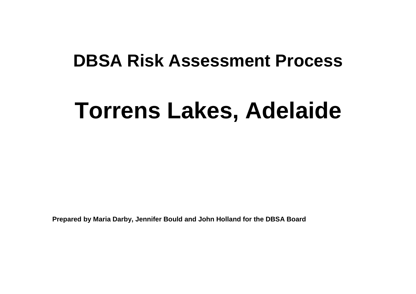## **DBSA Risk Assessment Process**

## **Torrens Lakes, Adelaide**

**Prepared by Maria Darby, Jennifer Bould and John Holland for the DBSA Board**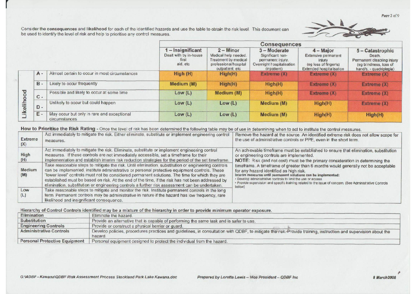Consider the consequences and likelihood for each of the identified hazards and use the table to obtain the risk level. This document can be used to identify the level of risk and help to prioritise any control measures.



|           |       |                                                             |                                                                  |                                                                                                         | Consequences                                                                                    |                                                                                                   |                                                                                                               |
|-----------|-------|-------------------------------------------------------------|------------------------------------------------------------------|---------------------------------------------------------------------------------------------------------|-------------------------------------------------------------------------------------------------|---------------------------------------------------------------------------------------------------|---------------------------------------------------------------------------------------------------------------|
|           |       |                                                             | $-$ Insignificant<br>Dealt with by in-house<br>first<br>aid, etc | $2 -$ Minor<br>Medical help needed.<br>Treatment by medical<br>professional/hospital<br>outpatient etc. | 3-Moderate<br>Significant non-<br>permanent injury.<br>Overnight hospitalisation<br>(inpatient) | $4 -$ Major<br>Extensive permanent<br>injury<br>(eg loss of finger/s)<br>Extended hospitalisation | 5 - Catastrophic<br>Death.<br>Permanent disabling injury<br>(eg blindness, loss of<br>hand/s, - quadriplegia) |
|           | $A -$ | Almost certain to occur in most circumstances               | High (H)                                                         | High(H)                                                                                                 | Extreme(X)                                                                                      | Extreme(X)                                                                                        | Extreme (X)                                                                                                   |
|           | $B -$ | Likely to occur frequently                                  | Medium (M)                                                       | High(H)                                                                                                 | High(H)                                                                                         | Extreme(X)                                                                                        | Extreme (X)                                                                                                   |
|           | $c -$ | Possible and likely to occur at some time                   | Low(L)                                                           | Medium (M)                                                                                              | High(H)                                                                                         | Extreme (X)                                                                                       | Extreme (X)                                                                                                   |
| ikelihood | $D -$ | Unlikely to occur but could happen                          | Low(L)                                                           | Low (L)                                                                                                 | Medium (M)                                                                                      | High(H)                                                                                           | Extreme (X)                                                                                                   |
|           | E -   | May occur but only in rare and exceptional<br>circumstances | Low(L)                                                           | Low $(L)$                                                                                               | Medium (M)                                                                                      | High(H)                                                                                           | High(H)                                                                                                       |

How to Prioritise the Risk Rating - Once the level of risk has been determined the following table may be of use in determining when to act to institute the control measures.

| <b>Extreme</b><br>(X) | Act immediately to mitigate the risk. Either eliminate, substitute or implement engineering control<br>measures.                                                                                                                                                                                                                                                                                                                                                                                             | Remove the hazard at the source. An identified extreme risk does not allow scope for<br>the use of administrative controls or PPE, even in the short term.                                                                                                                                                                                                                             |
|-----------------------|--------------------------------------------------------------------------------------------------------------------------------------------------------------------------------------------------------------------------------------------------------------------------------------------------------------------------------------------------------------------------------------------------------------------------------------------------------------------------------------------------------------|----------------------------------------------------------------------------------------------------------------------------------------------------------------------------------------------------------------------------------------------------------------------------------------------------------------------------------------------------------------------------------------|
| High<br>(H)           | Act immediately to mitigate the risk. Eliminate, substitute or implement engineering control<br>measures. If these controls are not immediately accessible, set a timeframe for their<br>implementation and establish interim risk reduction strategies for the period of the set timeframe.                                                                                                                                                                                                                 | An achievable timeframe must be established to ensure that elimination, substitution<br>or engineering controls are implemented.<br>NOTE: Risk (and not cost) must be the primary consideration in determining the                                                                                                                                                                     |
| Medium<br>(M)         | Take reasonable steps to mitigate the risk. Until elimination, substitution or engineering controls<br>can be implemented, institute administrative or personal protective equipment controls. These<br>'lower level' controls must not be considered permanent solutions. The time for which they are<br>established must be based on risk. At the end of the time, if the risk has not been addressed by<br>elimination, substitution or engineering controls a further risk assessment can be undertaken. | timeframe. A timeframe of greater than 6 months would generally not be acceptable<br>for any hazard identified as high risk.<br>Interim measures until permanent solutions can be implemented:<br>· Develop administrative controls to limit the use or access.<br>· Provide supervision and specific training related to the issue of concern. (See Administrative Controls<br>below) |
| Low<br>(L)            | Take reasonable steps to mitigate and monitor the risk. Institute permanent controls in the long<br>term. Permanent controls may be administrative in nature if the hazard has low frequency, rare<br>likelihood and insignificant consequence.                                                                                                                                                                                                                                                              |                                                                                                                                                                                                                                                                                                                                                                                        |

## Hierarchy of Control Controls identified may be a mixture of the hierarchy in order to provide minimum operator exposure.

| Elimination                          | Eliminate the hazard                                                                                                                                                       |
|--------------------------------------|----------------------------------------------------------------------------------------------------------------------------------------------------------------------------|
| Substitution                         | Provide an alternative that is capable of performing the same task and is safer to use.                                                                                    |
| <b>Engineering Controls</b>          | Provide or construct a physical barrier or quard.                                                                                                                          |
| <b>Administrative Controls</b>       | Develop policies, procedures practices and guidelines, in consultation with QDBF, to mitigate the risk. Provide training, instruction and supervision about the<br>hazard. |
| <b>Personal Protective Equipment</b> | Personal equipment designed to protect the individual from the hazard.                                                                                                     |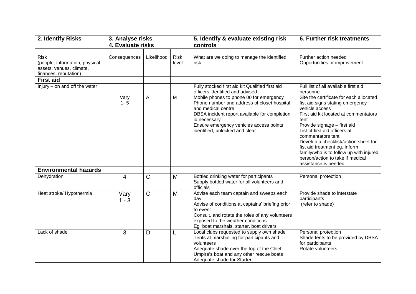| 2. Identify Risks                                                                                                      | 3. Analyse risks  |              |                      | 5. Identify & evaluate existing risk                                                                                                                                                                                                                                                                                                             | 6. Further risk treatments                                                                                                                                                                                                                                                                                                                                                                                                                                                |  |
|------------------------------------------------------------------------------------------------------------------------|-------------------|--------------|----------------------|--------------------------------------------------------------------------------------------------------------------------------------------------------------------------------------------------------------------------------------------------------------------------------------------------------------------------------------------------|---------------------------------------------------------------------------------------------------------------------------------------------------------------------------------------------------------------------------------------------------------------------------------------------------------------------------------------------------------------------------------------------------------------------------------------------------------------------------|--|
|                                                                                                                        | 4. Evaluate risks |              |                      | controls                                                                                                                                                                                                                                                                                                                                         |                                                                                                                                                                                                                                                                                                                                                                                                                                                                           |  |
| <b>Risk</b><br>(people, information, physical<br>assets, venues, climate,<br>finances, reputation)<br><b>First aid</b> | Consequences      | Likelihood   | <b>Risk</b><br>level | What are we doing to manage the identified<br>risk                                                                                                                                                                                                                                                                                               | Further action needed<br>Opportunities or improvement                                                                                                                                                                                                                                                                                                                                                                                                                     |  |
| $Injury - on and off the water$                                                                                        | Vary<br>$1 - 5$   | Α            | M                    | Fully stocked first aid kit Qualified first aid<br>officers identified and advised<br>Mobile phones to phone 00 for emergency<br>Phone number and address of closet hospital<br>and medical centre<br>DBSA incident report available for completion<br>id necessary<br>Ensure emergency vehicles access points<br>identified, unlocked and clear | Full list of all available first aid<br>personnel<br>Site the certificate for each allocated<br>fist aid signs stating emergency<br>vehicle access<br>First aid kit located at commentators<br>tent<br>Provide signage - first aid<br>List of first aid officers at<br>commentators tent<br>Develop a checklist//action sheet for<br>fist aid treatment eg. Inform<br>family/who is to follow up with injured<br>person/action to take if medical<br>assistance is needed |  |
| <b>Environmental hazards</b>                                                                                           |                   |              |                      |                                                                                                                                                                                                                                                                                                                                                  |                                                                                                                                                                                                                                                                                                                                                                                                                                                                           |  |
| Dehydration                                                                                                            | 4                 | C            | M                    | Bottled drinking water for participants<br>Supply bottled water for all volunteers and<br>officials                                                                                                                                                                                                                                              | Personal protection                                                                                                                                                                                                                                                                                                                                                                                                                                                       |  |
| Heat stroke/ Hypothermia                                                                                               | Vary<br>$1 - 3$   | $\mathsf{C}$ | M                    | Advise each team captain and sweeps each<br>day<br>Advise of conditions at captains' briefing prior<br>to event<br>Consult, and rotate the roles of any volunteers<br>exposed to the weather conditions<br>Eg boat marshals, starter, boat drivers                                                                                               | Provide shade to interstate<br>participants<br>(refer to shade)                                                                                                                                                                                                                                                                                                                                                                                                           |  |
| Lack of shade                                                                                                          | 3                 | D            | L                    | Local clubs requested to supply own shade<br>Tents at marshalling for participants and<br>volunteers<br>Adequate shade over the top of the Chief<br>Umpire's boat and any other rescue boats<br>Adequate shade for Starter                                                                                                                       | Personal protection<br>Shade tents to be provided by DBSA<br>for participants<br>Rotate volunteers                                                                                                                                                                                                                                                                                                                                                                        |  |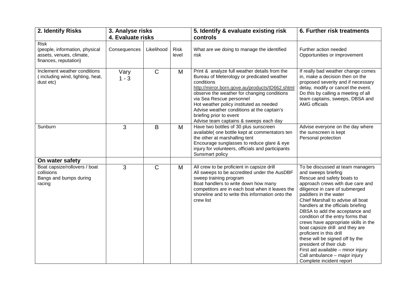| 2. Identify Risks                                                                                  | 3. Analyse risks  |              | 5. Identify & evaluate existing risk | 6. Further risk treatments                                                                                                                                                                                                                                                                                                                                                                            |                                                                                                                                                                                                                                                                                                                                                                                                                                                                                                                                                                                                                |
|----------------------------------------------------------------------------------------------------|-------------------|--------------|--------------------------------------|-------------------------------------------------------------------------------------------------------------------------------------------------------------------------------------------------------------------------------------------------------------------------------------------------------------------------------------------------------------------------------------------------------|----------------------------------------------------------------------------------------------------------------------------------------------------------------------------------------------------------------------------------------------------------------------------------------------------------------------------------------------------------------------------------------------------------------------------------------------------------------------------------------------------------------------------------------------------------------------------------------------------------------|
|                                                                                                    | 4. Evaluate risks |              |                                      | controls                                                                                                                                                                                                                                                                                                                                                                                              |                                                                                                                                                                                                                                                                                                                                                                                                                                                                                                                                                                                                                |
| <b>Risk</b><br>(people, information, physical<br>assets, venues, climate,<br>finances, reputation) | Consequences      | Likelihood   | <b>Risk</b><br>level                 | What are we doing to manage the identified<br>risk                                                                                                                                                                                                                                                                                                                                                    | Further action needed<br>Opportunities or improvement                                                                                                                                                                                                                                                                                                                                                                                                                                                                                                                                                          |
| Inclement weather conditions<br>(including wind, lighting, heat,<br>dust etc)                      | Vary<br>$1 - 3$   | $\mathsf{C}$ | M                                    | Print & analyze full weather details from the<br>Bureau of Meterology or predicated weather<br>conditions<br>http://mirror.born.gove.au/products/ID662.shtml<br>observe the weather for changing conditions<br>via Sea Rescue personnel<br>Hot weather policy instituted as needed<br>Advise weather conditions at the captain's<br>briefing prior to event<br>Advise team captains & sweeps each day | If really bad weather change comes<br>in, make a decision then on the<br>proposed severity and if necessary<br>delay, modify or cancel the event.<br>Do this by calling a meeting of all<br>team captains, sweeps, DBSA and<br><b>AMG</b> officials                                                                                                                                                                                                                                                                                                                                                            |
| Sunburn                                                                                            | 3                 | B            | M                                    | Have two bottles of 30 plus sunscreen<br>available( one bottle kept at commentators ten<br>the other at marshalling tent<br>Encourage sunglasses to reduce glare & eye<br>injury for volunteers, officials and participants<br>Sunsmart policy                                                                                                                                                        | Advise everyone on the day where<br>the sunscreen is kept<br>Personal protection                                                                                                                                                                                                                                                                                                                                                                                                                                                                                                                               |
| On water safety                                                                                    |                   |              |                                      |                                                                                                                                                                                                                                                                                                                                                                                                       |                                                                                                                                                                                                                                                                                                                                                                                                                                                                                                                                                                                                                |
| Boat capsize/rollovers / boat<br>collisions<br>Bangs and bumps during<br>racing                    | 3                 | $\mathsf{C}$ | M                                    | All crew to be proficient in capsize drill<br>All sweeps to be accredited under the AusDBF<br>sweep training program<br>Boat handlers to write down how many<br>competitors are in each boat when it leaves the<br>shoreline and to write this information onto the<br>crew list                                                                                                                      | To be discussed at team managers<br>and sweeps briefing<br>Rescue and safety boats to<br>approach crews with due care and<br>diligence in care of submerged<br>paddlers in the water<br>Chief Marshall to advise all boat<br>handlers at the officials briefing<br>DBSA to add the acceptance and<br>condition of the entry forms that<br>crews have appropriate skills in the<br>boat capsize drill and they are<br>proficient in this drill<br>these will be signed off by the<br>president of their club<br>First aid available - minor injury<br>Call ambulance - major injury<br>Complete incident report |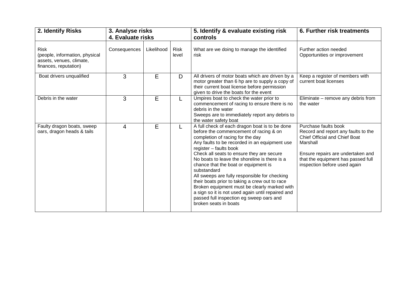| 2. Identify Risks                                                                                  | 3. Analyse risks<br>4. Evaluate risks |            |                      | 5. Identify & evaluate existing risk<br>controls                                                                                                                                                                                                                                                                                                                                                                                                                                                                                                                                                                                          | 6. Further risk treatments                                                                                                                                                                                          |  |
|----------------------------------------------------------------------------------------------------|---------------------------------------|------------|----------------------|-------------------------------------------------------------------------------------------------------------------------------------------------------------------------------------------------------------------------------------------------------------------------------------------------------------------------------------------------------------------------------------------------------------------------------------------------------------------------------------------------------------------------------------------------------------------------------------------------------------------------------------------|---------------------------------------------------------------------------------------------------------------------------------------------------------------------------------------------------------------------|--|
| <b>Risk</b><br>(people, information, physical<br>assets, venues, climate,<br>finances, reputation) | Consequences                          | Likelihood | <b>Risk</b><br>level | What are we doing to manage the identified<br>risk                                                                                                                                                                                                                                                                                                                                                                                                                                                                                                                                                                                        | Further action needed<br>Opportunities or improvement                                                                                                                                                               |  |
| Boat drivers unqualified                                                                           | 3                                     | E          | D                    | All drivers of motor boats which are driven by a<br>motor greater than 6 hp are to supply a copy of<br>their current boat license before permission<br>given to drive the boats for the event                                                                                                                                                                                                                                                                                                                                                                                                                                             | Keep a register of members with<br>current boat licenses                                                                                                                                                            |  |
| Debris in the water                                                                                | 3                                     | E          | L                    | Umpires boat to check the water prior to<br>commencement of racing to ensure there is no<br>debris in the water<br>Sweeps are to immediately report any debris to<br>the water safety boat                                                                                                                                                                                                                                                                                                                                                                                                                                                | Eliminate - remove any debris from<br>the water                                                                                                                                                                     |  |
| Faulty dragon boats, sweep<br>oars, dragon heads & tails                                           | 4                                     | E          | L                    | A full check of each dragon boat is to be done<br>before the commencement of racing & on<br>completion of racing for the day<br>Any faults to be recorded in an equipment use<br>register - faults book<br>Check all seats to ensure they are secure<br>No boats to leave the shoreline is there is a<br>chance that the boat or equipment is<br>substandard<br>All sweeps are fully responsible for checking<br>their boats prior to taking a crew out to race<br>Broken equipment must be clearly marked with<br>a sign so it is not used again until repaired and<br>passed full inspection eg sweep oars and<br>broken seats in boats | Purchase faults book<br>Record and report any faults to the<br>Chief Official and Chief Boat<br>Marshall<br>Ensure repairs are undertaken and<br>that the equipment has passed full<br>inspection before used again |  |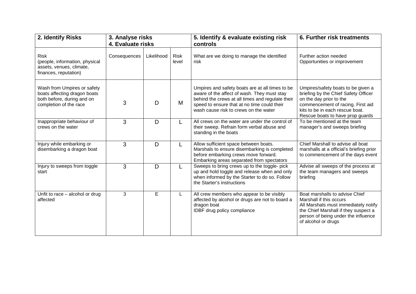| 2. Identify Risks                                                                                                   | 3. Analyse risks<br>4. Evaluate risks |            |                      | 5. Identify & evaluate existing risk<br>controls                                                                                                                                                                                           | 6. Further risk treatments                                                                                                                                                                                        |  |
|---------------------------------------------------------------------------------------------------------------------|---------------------------------------|------------|----------------------|--------------------------------------------------------------------------------------------------------------------------------------------------------------------------------------------------------------------------------------------|-------------------------------------------------------------------------------------------------------------------------------------------------------------------------------------------------------------------|--|
| <b>Risk</b><br>(people, information, physical<br>assets, venues, climate,<br>finances, reputation)                  | Consequences                          | Likelihood | <b>Risk</b><br>level | What are we doing to manage the identified<br>risk                                                                                                                                                                                         | Further action needed<br>Opportunities or improvement                                                                                                                                                             |  |
| Wash from Umpires or safety<br>boats affecting dragon boats<br>both before, during and on<br>completion of the race | 3                                     | D          | M                    | Umpires and safety boats are at all times to be<br>aware of the affect of wash. They must stay<br>behind the crews at all times and regulate their<br>speed to ensure that at no time could their<br>wash cause risk to crews on the water | Umpires/safety boats to be given a<br>briefing by the Chief Safety Officer<br>on the day prior to the<br>commencement of racing. First aid<br>kits to be in each rescue boat.<br>Rescue boats to have prop guards |  |
| Inappropriate behaviour of<br>crews on the water                                                                    | 3                                     | D          |                      | All crews on the water are under the control of<br>their sweep. Refrain form verbal abuse and<br>standing in the boats                                                                                                                     | To be mentioned at the team<br>manager's and sweeps briefing                                                                                                                                                      |  |
| Injury while embarking or<br>disembarking a dragon boat                                                             | 3                                     | D          | L                    | Allow sufficient space between boats.<br>Marshals to ensure disembarking is completed<br>before embarking crews move forward.<br>Embarking areas separated from spectators                                                                 | Chief Marshall to advise all boat<br>marshalls at a official's briefing prior<br>to commencement of the days event                                                                                                |  |
| Injury to sweeps from toggle<br>start                                                                               | 3                                     | D          |                      | Sweeps to bring crews up to the toggle- pick<br>up and hold toggle and release when and only<br>when informed by the Starter to do so. Follow<br>the Starter's instructions                                                                | Advise all sweeps of the process at<br>the team managers and sweeps<br>briefing                                                                                                                                   |  |
| Unfit to race - alcohol or drug<br>affected                                                                         | 3                                     | E.         | L                    | All crew members who appear to be visibly<br>affected by alcohol or drugs are not to board a<br>dragon boat<br>IDBF drug policy compliance                                                                                                 | Boat marshalls to advise Chief<br>Marshall if this occurs<br>All Marshals must immediately notify<br>the Chief Marshall if they suspect a<br>person of being under the influence<br>of alcohol or drugs           |  |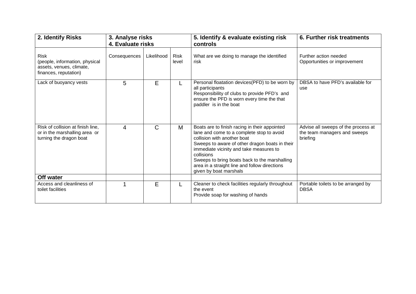| 2. Identify Risks                                                                                  | 3. Analyse risks<br>4. Evaluate risks |              |                      | 5. Identify & evaluate existing risk<br>controls                                                                                                                                                                                                                                                                                                                 | 6. Further risk treatments                                                      |
|----------------------------------------------------------------------------------------------------|---------------------------------------|--------------|----------------------|------------------------------------------------------------------------------------------------------------------------------------------------------------------------------------------------------------------------------------------------------------------------------------------------------------------------------------------------------------------|---------------------------------------------------------------------------------|
| <b>Risk</b><br>(people, information, physical<br>assets, venues, climate,<br>finances, reputation) | Consequences                          | Likelihood   | <b>Risk</b><br>level | What are we doing to manage the identified<br>risk                                                                                                                                                                                                                                                                                                               | Further action needed<br>Opportunities or improvement                           |
| Lack of buoyancy vests                                                                             | 5                                     | E            |                      | Personal floatation devices(PFD) to be worn by<br>all participants<br>Responsibility of clubs to provide PFD's and<br>ensure the PFD is worn every time the that<br>paddler is in the boat                                                                                                                                                                       | DBSA to have PFD's available for<br>use                                         |
| Risk of collision at finish line,<br>or in the marshalling area or<br>turning the dragon boat      | 4                                     | $\mathsf{C}$ | M                    | Boats are to finish racing in their appointed<br>lane and come to a complete stop to avoid<br>collision with another boat<br>Sweeps to aware of other dragon boats in their<br>immediate vicinity and take measures to<br>collisions<br>Sweeps to bring boats back to the marshalling<br>area in a straight line and follow directions<br>given by boat marshals | Advise all sweeps of the process at<br>the team managers and sweeps<br>briefing |
| Off water                                                                                          |                                       |              |                      |                                                                                                                                                                                                                                                                                                                                                                  |                                                                                 |
| Access and cleanliness of<br>toilet facilities                                                     |                                       | E            |                      | Cleaner to check facilities regularly throughout<br>the event<br>Provide soap for washing of hands                                                                                                                                                                                                                                                               | Portable toilets to be arranged by<br><b>DBSA</b>                               |